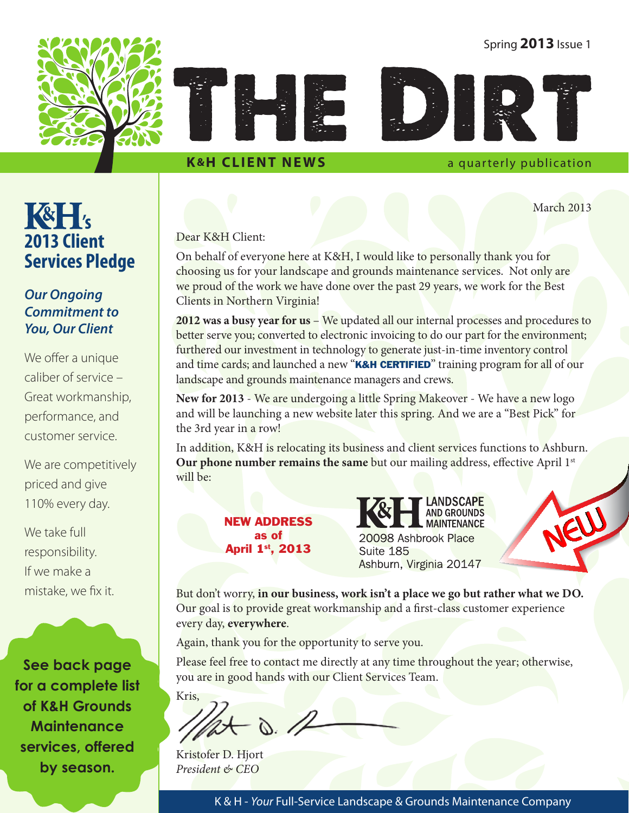#### Spring **2013** Issue 1





#### **K&H CLIENT NEWS** a quarterly publication

March 2013

#### Dear K&H Client:

On behalf of everyone here at K&H, I would like to personally thank you for choosing us for your landscape and grounds maintenance services. Not only are we proud of the work we have done over the past 29 years, we work for the Best Clients in Northern Virginia!

**2012 was a busy year for us** – We updated all our internal processes and procedures to better serve you; converted to electronic invoicing to do our part for the environment; furthered our investment in technology to generate just-in-time inventory control and time cards; and launched a new "K&H CERTIFIED" training program for all of our landscape and grounds maintenance managers and crews.

**New for 2013** - We are undergoing a little Spring Makeover - We have a new logo and will be launching a new website later this spring. And we are a "Best Pick" for the 3rd year in a row!

In addition, K&H is relocating its business and client services functions to Ashburn. **Our phone number remains the same** but our mailing address, effective April 1<sup>st</sup> will be:

> NEW ADDRESS as of April 1<sup>st</sup>, 2013

**AND GROUNDS MAINTENANCE** 20098 Ashbrook Place Suite 185 Ashburn, Virginia 20147

**LANDSCAPE** 



But don't worry, **in our business, work isn't a place we go but rather what we DO.** Our goal is to provide great workmanship and a first-class customer experience every day, **everywhere**.

Again, thank you for the opportunity to serve you.

Please feel free to contact me directly at any time throughout the year; otherwise, you are in good hands with our Client Services Team.

Kris,  $\delta$ . //

Kristofer D. Hjort *President & CEO*

K & H - *Your* Full-Service Landscape & Grounds Maintenance Company

**R&H 2013 Client Services Pledge**

#### *Our Ongoing Commitment to You, Our Client*

We offer a unique caliber of service – Great workmanship, performance, and customer service.

We are competitively priced and give 110% every day.

We take full responsibility. If we make a mistake, we fix it.

**See back page for a complete list of K&H Grounds Maintenance services, offered by season.**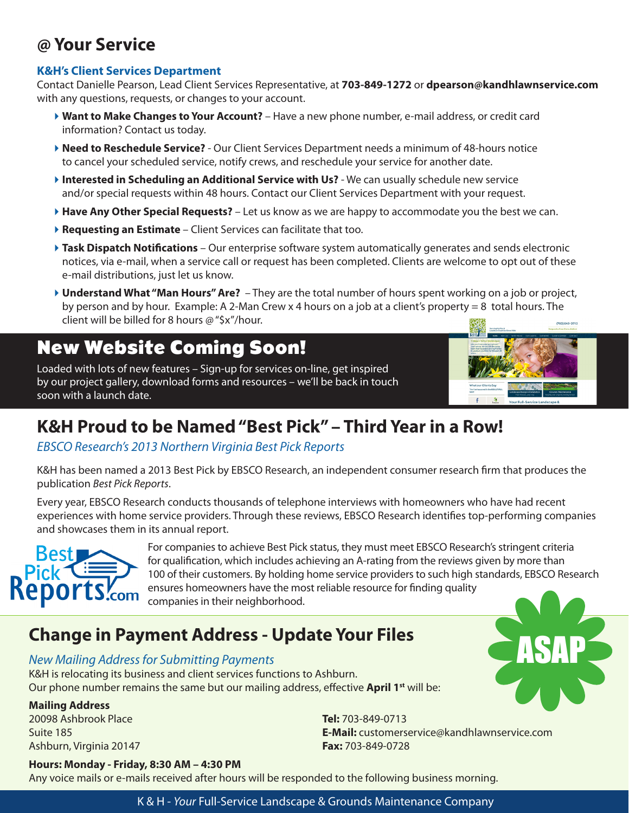### **@ Your Service**

#### **K&H's Client Services Department**

Contact Danielle Pearson, Lead Client Services Representative, at **703-849-1272** or **dpearson@kandhlawnservice.com** with any questions, requests, or changes to your account.

- 4**Want to Make Changes to Your Account?** Have a new phone number, e-mail address, or credit card information? Contact us today.
- 4**Need to Reschedule Service?** Our Client Services Department needs a minimum of 48-hours notice to cancel your scheduled service, notify crews, and reschedule your service for another date.
- **Interested in Scheduling an Additional Service with Us?** We can usually schedule new service and/or special requests within 48 hours. Contact our Client Services Department with your request.
- 4**Have Any Other Special Requests?** Let us know as we are happy to accommodate you the best we can.
- 4**Requesting an Estimate** Client Services can facilitate that too.
- **Task Dispatch Notifications** Our enterprise software system automatically generates and sends electronic notices, via e-mail, when a service call or request has been completed. Clients are welcome to opt out of these e-mail distributions, just let us know.
- 4**Understand What "Man Hours" Are?**  They are the total number of hours spent working on a job or project, by person and by hour. Example: A 2-Man Crew x 4 hours on a job at a client's property = 8 total hours. The client will be billed for 8 hours @ "\$x"/hour.

#### New Website Coming Soon!

Loaded with lots of new features – Sign-up for services on-line, get inspired by our project gallery, download forms and resources – we'll be back in touch soon with a launch date.



ASAP

### **K&H Proud to be Named "Best Pick" – Third Year in a Row!**

*EBSCO Research's 2013 Northern Virginia Best Pick Reports*

K&H has been named a 2013 Best Pick by EBSCO Research, an independent consumer research firm that produces the publication *Best Pick Reports*.

Every year, EBSCO Research conducts thousands of telephone interviews with homeowners who have had recent experiences with home service providers. Through these reviews, EBSCO Research identifies top-performing companies and showcases them in its annual report.



For companies to achieve Best Pick status, they must meet EBSCO Research's stringent criteria for qualification, which includes achieving an A-rating from the reviews given by more than 100 of their customers. By holding home service providers to such high standards, EBSCO Research ensures homeowners have the most reliable resource for finding quality companies in their neighborhood.

### **Change in Payment Address - Update Your Files**

#### *New Mailing Address for Submitting Payments*

K&H is relocating its business and client services functions to Ashburn. Our phone number remains the same but our mailing address, effective **April 1<sup>st</sup>** will be:

#### **Mailing Address**

20098 Ashbrook Place Suite 185 Ashburn, Virginia 20147 **Tel:** 703-849-0713 **E-Mail:** customerservice@kandhlawnservice.com **Fax:** 703-849-0728

#### **Hours: Monday - Friday, 8:30 AM – 4:30 PM**

Any voice mails or e-mails received after hours will be responded to the following business morning.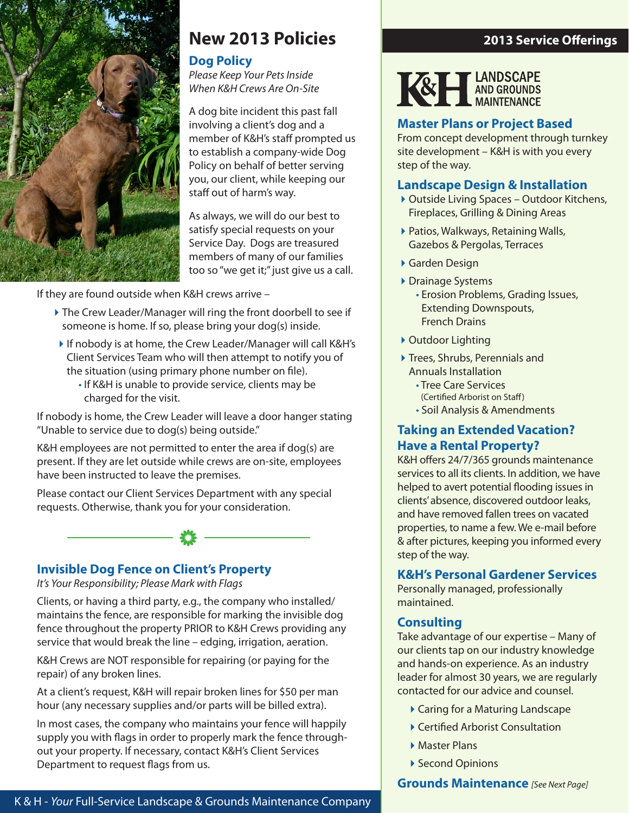

#### **New 2013 Policies**

#### **Dog Policy**

*Please Keep Your Pets Inside When K&H Crews Are On-Site*

A dog bite incident this past fall involving a client's dog and a member of K&H's staff prompted us to establish a company-wide Dog Policy on behalf of better serving you, our client, while keeping our staff out of harm's way.

As always, we will do our best to satisfy special requests on your Service Day. Dogs are treasured members of many of our families too so "we get it;" just give us a call.

If they are found outside when K&H crews arrive –

- The Crew Leader/Manager will ring the front doorbell to see if someone is home. If so, please bring your dog(s) inside.
- ▶ If nobody is at home, the Crew Leader/Manager will call K&H's Client Services Team who will then attempt to notify you of the situation (using primary phone number on file).
	- If K&H is unable to provide service, clients may be charged for the visit.

If nobody is home, the Crew Leader will leave a door hanger stating "Unable to service due to dog(s) being outside."

K&H employees are not permitted to enter the area if dog(s) are present. If they are let outside while crews are on-site, employees have been instructed to leave the premises.

Please contact our Client Services Department with any special requests. Otherwise, thank you for your consideration.



#### **Invisible Dog Fence on Client's Property**

*It's Your Responsibility; Please Mark with Flags*

Clients, or having a third party, e.g., the company who installed/ maintains the fence, are responsible for marking the invisible dog fence throughout the property PRIOR to K&H Crews providing any service that would break the line – edging, irrigation, aeration.

K&H Crews are NOT responsible for repairing (or paying for the repair) of any broken lines.

At a client's request, K&H will repair broken lines for \$50 per man hour (any necessary supplies and/or parts will be billed extra).

In most cases, the company who maintains your fence will happily supply you with flags in order to properly mark the fence throughout your property. If necessary, contact K&H's Client Services Department to request flags from us.

#### **2013 Service Offerings**



#### **Master Plans or Project Based**

From concept development through turnkey site development – K&H is with you every step of the way.

#### **Landscape Design & Installation**

- ▶ Outside Living Spaces Outdoor Kitchens, Fireplaces, Grilling & Dining Areas
- ▶ Patios, Walkways, Retaining Walls, Gazebos & Pergolas, Terraces
- 4Garden Design
- ▶ Drainage Systems
	- Erosion Problems, Grading Issues, Extending Downspouts, French Drains
- ▶ Outdoor Lighting
- ▶ Trees, Shrubs, Perennials and Annuals Installation
	- Tree Care Services (Certified Arborist on Staff)
	- Soil Analysis & Amendments

#### **Taking an Extended Vacation? Have a Rental Property?**

K&H offers 24/7/365 grounds maintenance services to all its clients. In addition, we have helped to avert potential flooding issues in clients' absence, discovered outdoor leaks, and have removed fallen trees on vacated properties, to name a few. We e-mail before & after pictures, keeping you informed every step of the way.

#### **K&H's Personal Gardener Services**

Personally managed, professionally maintained.

#### **Consulting**

Take advantage of our expertise – Many of our clients tap on our industry knowledge and hands-on experience. As an industry leader for almost 30 years, we are regularly contacted for our advice and counsel.

- ▶ Caring for a Maturing Landscape
- ▶ Certified Arborist Consultation
- ▶ Master Plans
- ▶ Second Opinions